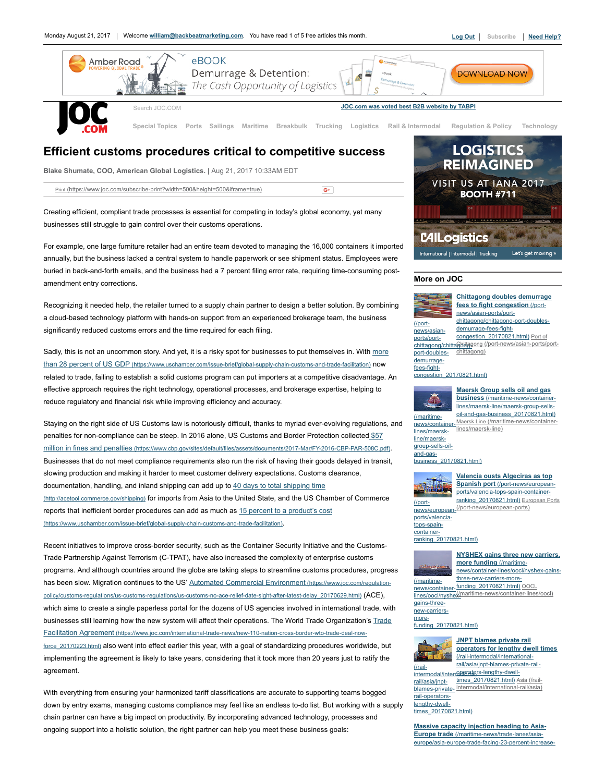

## Efficient customs procedures critical to competitive success

Blake Shumate, COO, American Global Logistics. | Aug 21, 2017 10:33AM EDT

Print [\(https://www.joc.com/subscribe-print?width=500&height=500&iframe=true\)](https://www.joc.com/subscribe-print?width=500&height=500&iframe=true)

 $G^+$ 

Creating efficient, compliant trade processes is essential for competing in today's global economy, yet many businesses still struggle to gain control over their customs operations.

For example, one large furniture retailer had an entire team devoted to managing the 16,000 containers it imported annually, but the business lacked a central system to handle paperwork or see shipment status. Employees were buried in back-and-forth emails, and the business had a 7 percent filing error rate, requiring time-consuming postamendment entry corrections.

Recognizing it needed help, the retailer turned to a supply chain partner to design a better solution. By combining a cloud-based technology platform with hands-on support from an experienced brokerage team, the business significantly reduced customs errors and the time required for each filing.

Sadly, this is not an uncommon story. And yet, it is a risky spot for businesses to put themselves in. With more than 28 percent of US GDP [\(https://www.uschamber.com/issue-brief/global-supply-chain-customs-and-trade-facilitation\)](https://www.uschamber.com/issue-brief/global-supply-chain-customs-and-trade-facilitation) now related to trade, failing to establish a solid customs program can put importers at a competitive disadvantage. An effective approach requires the right technology, operational processes, and brokerage expertise, helping to reduce regulatory and financial risk while improving efficiency and accuracy.

Staying on the right side of US Customs law is notoriously difficult, thanks to myriad ever-evolving regulations, and penalties for non-compliance can be steep. In 2016 alone, US Customs and Border Protection collected \$57 million in fines and penalties [\(https://www.cbp.gov/sites/default/files/assets/documents/2017-Mar/FY-2016-CBP-PAR-508C.pdf\)](https://www.cbp.gov/sites/default/files/assets/documents/2017-Mar/FY-2016-CBP-PAR-508C.pdf). Businesses that do not meet compliance requirements also run the risk of having their goods delayed in transit, slowing production and making it harder to meet customer delivery expectations. Customs clearance, documentation, handling, and inland shipping can add up to 40 days to total shipping time [\(http://acetool.commerce.gov/shipping\)](http://acetool.commerce.gov/shipping) for imports from Asia to the United State, and the US Chamber of Commerce reports that inefficient border procedures can add as much as 15 percent to a product's cost [\(https://www.uschamber.com/issue-brief/global-supply-chain-customs-and-trade-facilitation\)](https://www.uschamber.com/issue-brief/global-supply-chain-customs-and-trade-facilitation).

Recent initiatives to improve cross-border security, such as the Container Security Initiative and the Customs-Trade Partnership Against Terrorism (C-TPAT), have also increased the complexity of enterprise customs programs. And although countries around the globe are taking steps to streamline customs procedures, progress has been slow. Migration continues to the US' Automated Commercial Environment (https://www.joc.com/regulation[policy/customs-regulations/us-customs-regulations/us-customs-no-ace-relief-date-sight-after-latest-delay\\_20170629.html\)](https://www.joc.com/regulation-policy/customs-regulations/us-customs-regulations/us-customs-no-ace-relief-date-sight-after-latest-delay_20170629.html) (ACE), which aims to create a single paperless portal for the dozens of US agencies involved in international trade, with businesses still learning how the new system will affect their operations. The World Trade Organization's Trade Facilitation Agreement [\(https://www.joc.com/international-trade-news/new-110-nation-cross-border-wto-trade-deal-now](https://www.joc.com/international-trade-news/new-110-nation-cross-border-wto-trade-deal-now-force_20170223.html)force 20170223.html) also went into effect earlier this year, with a goal of standardizing procedures worldwide, but implementing the agreement is likely to take years, considering that it took more than 20 years just to ratify the agreement.

With everything from ensuring your harmonized tariff classifications are accurate to supporting teams bogged down by entry exams, managing customs compliance may feel like an endless to-do list. But working with a supply chain partner can have a big impact on productivity. By incorporating advanced technology, processes and ongoing support into a holistic solution, the right partner can help you meet these business goals:



#### More on JOC



chittagong/chittaGhittagong [\(/port-news/asian-ports/port-](https://www.joc.com/port-news/asian-ports/port-chittagong)Chittagong doubles demurrage fees to fight congestion (/portnews/asian-ports/port[chittagong/chittagong-port-doubles](https://www.joc.com/port-news/asian-ports/port-chittagong/chittagong-port-doubles-demurrage-fees-fight-congestion_20170821.html)demurrage-fees-fightcongestion\_20170821.html) Port of chittagong)

## [congestion\\_20170821.html\)](https://www.joc.com/port-news/asian-ports/port-chittagong/chittagong-port-doubles-demurrage-fees-fight-congestion_20170821.html)



news/container-Maersk Line [\(/maritime-news/container-](https://www.joc.com/maritime-news/container-lines/maersk-line)Maersk Group sells oil and gas business (/maritime-news/containerlines/maersk-line/maersk-group-sells[oil-and-gas-business\\_20170821.html\)](https://www.joc.com/maritime-news/container-lines/maersk-line/maersk-group-sells-oil-and-gas-business_20170821.html) lines/maersk-line)

[business\\_20170821.html\)](https://www.joc.com/maritime-news/container-lines/maersk-line/maersk-group-sells-oil-and-gas-business_20170821.html)



#### Valencia ousts Algeciras as top Spanish port (/port-news/european[ports/valencia-tops-spain-container](https://www.joc.com/port-news/european-ports/valencia-tops-spain-container-ranking_20170821.html)ranking\_20170821.html) European Ports

(/port-hews/european-<sup>[\(/port-news/european-ports\)](https://www.joc.com/port-news/european-ports)</sup> ports/valenciatops-spaincontainer-

[ranking\\_20170821.html\)](https://www.joc.com/port-news/european-ports/valencia-tops-spain-container-ranking_20170821.html)

NYSHEX gains three new carriers, more funding (/maritime[news/container-lines/oocl/nyshex-gains-](https://www.joc.com/maritime-news/container-lines/oocl/nyshex-gains-three-new-carriers-more-funding_20170821.html)

(/maritimenews/container-funding\_20170821.html) OOCL lines/oocl/nyshe[\(/maritime-news/container-lines/oocl\)](https://www.joc.com/maritime-news/container-lines/oocl) three-new-carriers-more-



[funding\\_20170821.html\)](https://www.joc.com/maritime-news/container-lines/oocl/nyshex-gains-three-new-carriers-more-funding_20170821.html)



(/rail-

**JNPT blames private rail** operators for lengthy dwell times (/rail-intermodal/international-

intermodal/internetedators-lengthy-dwellrail/asia/jnptblames-private-[intermodal/international-rail/asia\)](https://www.joc.com/rail-intermodal/international-rail/asia) [rail/asia/jnpt-blames-private-rail](https://www.joc.com/rail-intermodal/international-rail/asia/jnpt-blames-private-rail-operators-lengthy-dwell-times_20170821.html)times\_20170821.html) Asia (/rail-

rail-operatorslengthy-dwel times\_20170821.html)

Massive capacity injection heading to Asia-Europe trade (/maritime-news/trade-lanes/asia[europe/asia-europe-trade-facing-23-percent-increase-](https://www.joc.com/maritime-news/trade-lanes/asia-europe/asia-europe-trade-facing-23-percent-increase-capacity_20170820.html)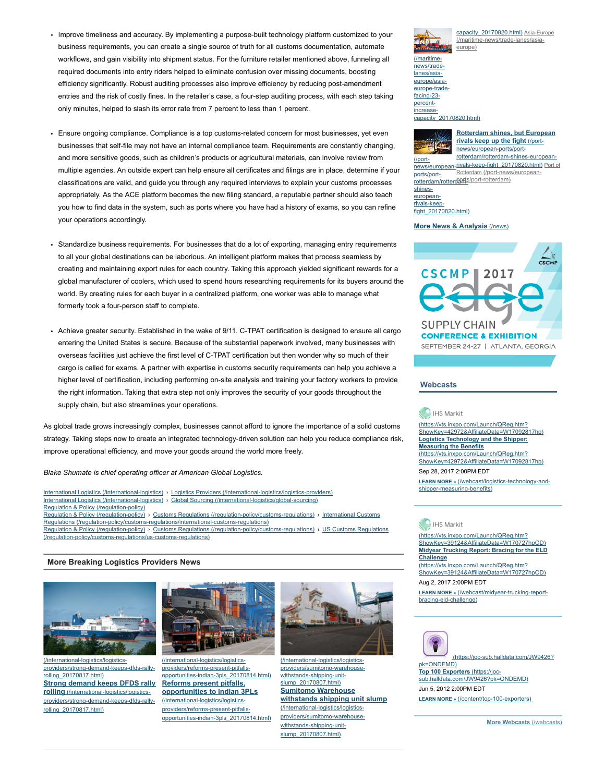- Improve timeliness and accuracy. By implementing a purpose-built technology platform customized to your business requirements, you can create a single source of truth for all customs documentation, automate workflows, and gain visibility into shipment status. For the furniture retailer mentioned above, funneling all required documents into entry riders helped to eliminate confusion over missing documents, boosting efficiency significantly. Robust auditing processes also improve efficiency by reducing post-amendment entries and the risk of costly fines. In the retailer's case, a four-step auditing process, with each step taking only minutes, helped to slash its error rate from 7 percent to less than 1 percent.
- Ensure ongoing compliance. Compliance is a top customs-related concern for most businesses, yet even businesses that self-file may not have an internal compliance team. Requirements are constantly changing, and more sensitive goods, such as children's products or agricultural materials, can involve review from multiple agencies. An outside expert can help ensure all certificates and filings are in place, determine if your classifications are valid, and guide you through any required interviews to explain your customs processes appropriately. As the ACE platform becomes the new filing standard, a reputable partner should also teach you how to find data in the system, such as ports where you have had a history of exams, so you can refine your operations accordingly.
- Standardize business requirements. For businesses that do a lot of exporting, managing entry requirements to all your global destinations can be laborious. An intelligent platform makes that process seamless by creating and maintaining export rules for each country. Taking this approach yielded significant rewards for a global manufacturer of coolers, which used to spend hours researching requirements for its buyers around the world. By creating rules for each buyer in a centralized platform, one worker was able to manage what formerly took a four-person staff to complete.
- Achieve greater security. Established in the wake of 9/11, C-TPAT certification is designed to ensure all cargo entering the United States is secure. Because of the substantial paperwork involved, many businesses with overseas facilities just achieve the first level of C-TPAT certification but then wonder why so much of their cargo is called for exams. A partner with expertise in customs security requirements can help you achieve a higher level of certification, including performing on-site analysis and training your factory workers to provide the right information. Taking that extra step not only improves the security of your goods throughout the supply chain, but also streamlines your operations.

As global trade grows increasingly complex, businesses cannot afford to ignore the importance of a solid customs strategy. Taking steps now to create an integrated technology-driven solution can help you reduce compliance risk, improve operational efficiency, and move your goods around the world more freely.

Blake Shumate is chief operating officer at American Global Logistics.

International Logistics [\(/international-logistics\)](https://www.joc.com/international-logistics) › Logistics Providers [\(/international-logistics/logistics-providers\)](https://www.joc.com/international-logistics/logistics-providers) International Logistics [\(/international-logistics\)](https://www.joc.com/international-logistics) › Global Sourcing [\(/international-logistics/global-sourcing\)](https://www.joc.com/international-logistics/global-sourcing) Regulation & Policy [\(/regulation-policy\)](https://www.joc.com/regulation-policy) Regulation & Policy [\(/regulation-policy\)](https://www.joc.com/regulation-policy) › Customs Regulations [\(/regulation-policy/customs-regulations\)](https://www.joc.com/regulation-policy/customs-regulations) › International Customs Regulations [\(/regulation-policy/customs-regulations/international-customs-regulations\)](https://www.joc.com/regulation-policy/customs-regulations/international-customs-regulations) Regulation & Policy [\(/regulation-policy\)](https://www.joc.com/regulation-policy) › Customs Regulations [\(/regulation-policy/customs-regulations\)](https://www.joc.com/regulation-policy/customs-regulations) › US Customs Regulations

[\(/regulation-policy/customs-regulations/us-customs-regulations\)](https://www.joc.com/regulation-policy/customs-regulations/us-customs-regulations)

#### More Breaking Logistics Providers News



(/international-logistics/logistics[providers/strong-demand-keeps-dfds-rally](https://www.joc.com/international-logistics/logistics-providers/strong-demand-keeps-dfds-rally-rolling_20170817.html)rolling\_20170817.html) Strong demand keeps DFDS rally Reforms present pitfalls. rolling (/international-logistics/logistics[providers/strong-demand-keeps-dfds-rally](https://www.joc.com/international-logistics/logistics-providers/strong-demand-keeps-dfds-rally-rolling_20170817.html)rolling\_20170817.html)



(/international-logistics/logisticsproviders/reforms-present-pitfalls[opportunities-indian-3pls\\_20170814.html\)](https://www.joc.com/international-logistics/logistics-providers/reforms-present-pitfalls-opportunities-indian-3pls_20170814.html) opportunities to Indian 3PLs (/international-logistics/logisticsproviders/reforms-present-pitfalls[opportunities-indian-3pls\\_20170814.html\)](https://www.joc.com/international-logistics/logistics-providers/reforms-present-pitfalls-opportunities-indian-3pls_20170814.html)



(/international-logistics/logistics[providers/sumitomo-warehouse](https://www.joc.com/international-logistics/logistics-providers/sumitomo-warehouse-withstands-shipping-unit-slump_20170807.html)withstands-shipping-unitslump\_20170807.html) Sumitomo Warehouse withstands shipping unit slump (/international-logistics/logistics[providers/sumitomo-warehouse](https://www.joc.com/international-logistics/logistics-providers/sumitomo-warehouse-withstands-shipping-unit-slump_20170807.html)withstands-shipping-unitslump\_20170807.html)



europe)

ports/portrotterdam/rotterdambis/port-rotterdam) [rotterdam/rotterdam-shines-european](https://www.joc.com/port-news/european-ports/port-rotterdam/rotterdam-shines-european-rivals-keep-fight_20170820.html)[rivals-keep-fight\\_20170820.html\)](https://www.joc.com/port-news/european-ports/port-rotterdam) Port of Rotterdam (/port-news/european-

[capacity\\_20170820.html\)](https://www.joc.com/maritime-news/trade-lanes/asia-europe/asia-europe-trade-facing-23-percent-increase-capacity_20170820.html) Asia-Europe [\(/maritime-news/trade-lanes/asia-](https://www.joc.com/maritime-news/trade-lanes/asia-europe)

europeanrivals-keep-

[fight\\_20170820.html\)](https://www.joc.com/port-news/european-ports/port-rotterdam/rotterdam-shines-european-rivals-keep-fight_20170820.html)

shines-

(/maritimenews/tradelanes/asia-

## More News & [Analysis](https://www.joc.com/news) (/news)



## **Webcasts**

#### IHS Markit

(https://vts.inxpo.com/Launch/QReg.htm? [ShowKey=42972&AffiliateData=W17092817hp\)](https://vts.inxpo.com/Launch/QReg.htm?ShowKey=42972&AffiliateData=W17092817hp) Logistics Technology and the Shipper: Measuring the Benefits (https://vts.inxpo.com/Launch/QReg.htm? [ShowKey=42972&AffiliateData=W17092817hp\)](https://vts.inxpo.com/Launch/QReg.htm?ShowKey=42972&AffiliateData=W17092817hp) Sep 28, 2017 2:00PM EDT

LEARN MORE » [\(/webcast/logistics-technology-and](https://www.joc.com/webcast/logistics-technology-and-shipper-measuring-benefits)shipper-measuring-benefits)

#### **A** IHS Markit

(https://vts.inxpo.com/Launch/QReg.htm? [ShowKey=39124&AffiliateData=W170727hpOD\)](https://vts.inxpo.com/Launch/QReg.htm?ShowKey=39124&AffiliateData=W170727hpOD) Midyear Trucking Report: Bracing for the ELD **Challenge** (https://vts.inxpo.com/Launch/QReg.htm? [ShowKey=39124&AffiliateData=W170727hpOD\)](https://vts.inxpo.com/Launch/QReg.htm?ShowKey=39124&AffiliateData=W170727hpOD) Aug 2, 2017 2:00PM EDT LEARN MORE » [\(/webcast/midyear-trucking-report](https://www.joc.com/webcast/midyear-trucking-report-bracing-eld-challenge)bracing-eld-challenge)



pk=ONDEMD) Top 100 Exporters (https://joc[sub.halldata.com/JW9426?pk=ONDEMD\)](https://joc-sub.halldata.com/JW9426?pk=ONDEMD) Jun 5, 2012 2:00PM EDT

[\(https://joc-sub.halldata.com/JW9426?](https://joc-sub.halldata.com/JW9426?pk=ONDEMD)

LEARN MORE » [\(/content/top-100-exporters\)](https://www.joc.com/content/top-100-exporters)

More Webcasts [\(/webcasts\)](https://www.joc.com/webcasts)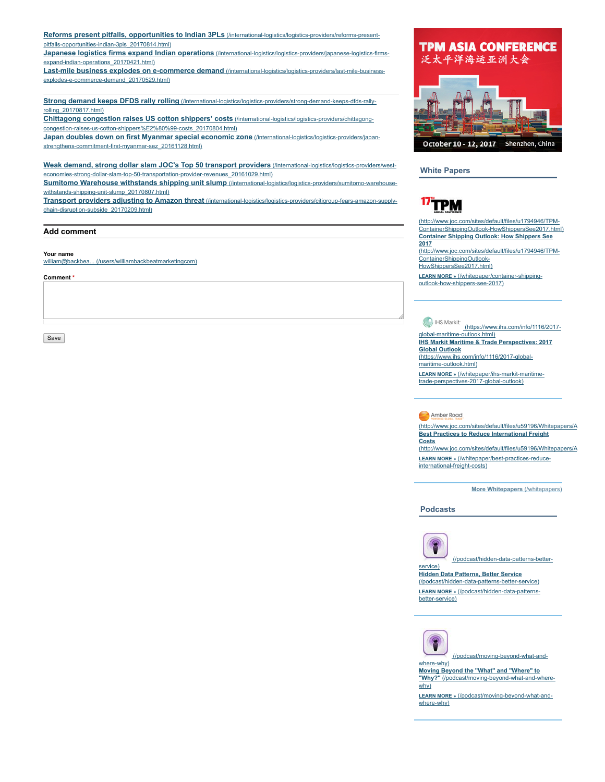Reforms present pitfalls, opportunities to Indian 3PLs [\(/international-logistics/logistics-providers/reforms-present](https://www.joc.com/international-logistics/logistics-providers/reforms-present-pitfalls-opportunities-indian-3pls_20170814.html)pitfalls-opportunities-indian-3pls\_20170814.html) Japanese logistics firms expand Indian operations [\(/international-logistics/logistics-providers/japanese-logistics-firms](https://www.joc.com/international-logistics/logistics-providers/japanese-logistics-firms-expand-indian-operations_20170421.html)expand-indian-operations\_20170421.html) Last-mile business explodes on e-commerce demand [\(/international-logistics/logistics-providers/last-mile-business](https://www.joc.com/international-logistics/logistics-providers/last-mile-business-explodes-e-commerce-demand_20170529.html)explodes-e-commerce-demand\_20170529.html) Strong demand keeps DFDS rally rolling [\(/international-logistics/logistics-providers/strong-demand-keeps-dfds-rally](https://www.joc.com/international-logistics/logistics-providers/strong-demand-keeps-dfds-rally-rolling_20170817.html)rolling\_20170817.html) Chittagong congestion raises US cotton shippers' costs (/international-logistics/logistics-providers/chittagong[congestion-raises-us-cotton-shippers%E2%80%99-costs\\_20170804.html\)](https://www.joc.com/international-logistics/logistics-providers/chittagong-congestion-raises-us-cotton-shippers%E2%80%99-costs_20170804.html)

Japan doubles down on first Myanmar special economic zone (/international-logistics/logistics-providers/japan[strengthens-commitment-first-myanmar-sez\\_20161128.html\)](https://www.joc.com/international-logistics/logistics-providers/japan-strengthens-commitment-first-myanmar-sez_20161128.html)

Weak demand, strong dollar slam JOC's Top 50 transport providers (/international-logistics/logistics-providers/west[economies-strong-dollar-slam-top-50-transportation-provider-revenues\\_20161029.html\)](https://www.joc.com/international-logistics/logistics-providers/west-economies-strong-dollar-slam-top-50-transportation-provider-revenues_20161029.html)

Sumitomo Warehouse withstands shipping unit slump [\(/international-logistics/logistics-providers/sumitomo-warehouse](https://www.joc.com/international-logistics/logistics-providers/sumitomo-warehouse-withstands-shipping-unit-slump_20170807.html)withstands-shipping-unit-slump\_20170807.html)

Transport providers adjusting to Amazon threat [\(/international-logistics/logistics-providers/citigroup-fears-amazon-supply](https://www.joc.com/international-logistics/logistics-providers/citigroup-fears-amazon-supply-chain-disruption-subside_20170209.html)chain-disruption-subside\_20170209.html)

#### Add comment

#### Your name

william@backbea... [\(/users/williambackbeatmarketingcom\)](https://www.joc.com/users/williambackbeatmarketingcom)

#### Comment \*

Save



White Papers

# <sup>17</sup>TPM

(http://www.joc.com/sites/default/files/u1794946/TPM-[ContainerShippingOutlook-HowShippersSee2017.html\)](http://www.joc.com/sites/default/files/u1794946/TPM-ContainerShippingOutlook-HowShippersSee2017.html) Container Shipping Outlook: How Shippers See 2017

[\(http://www.joc.com/sites/default/files/u1794946/TPM-](http://www.joc.com/sites/default/files/u1794946/TPM-ContainerShippingOutlook-HowShippersSee2017.html)ContainerShippingOutlook-

HowShippersSee2017.html)

LEARN MORE » (/whitepaper/container-shipping[outlook-how-shippers-see-2017\)](https://www.joc.com/whitepaper/container-shipping-outlook-how-shippers-see-2017)

## **IHS Markit**

[\(https://www.ihs.com/info/1116/2017](https://www.ihs.com/info/1116/2017-global-maritime-outlook.html) global-maritime-outlook.html) IHS Markit Maritime & Trade Perspectives: 2017 Global Outlook [\(https://www.ihs.com/info/1116/2017-global](https://www.ihs.com/info/1116/2017-global-maritime-outlook.html)maritime-outlook.html) LEARN MORE » (/whitepaper/ihs-markit-maritime-

[trade-perspectives-2017-global-outlook\)](https://www.joc.com/whitepaper/ihs-markit-maritime-trade-perspectives-2017-global-outlook)

#### Amber Road

[\(http://www.joc.com/sites/default/files/u59196/Whitepapers/A](http://www.joc.com/sites/default/files/u59196/Whitepapers/AR_Best_Practices_Reduce_International_Freight_Costs/amberroadWPleadform.html) Best Practices to Reduce International Freight Costs [\(http://www.joc.com/sites/default/files/u59196/Whitepapers/A](http://www.joc.com/sites/default/files/u59196/Whitepapers/AR_Best_Practices_Reduce_International_Freight_Costs/amberroadWPleadform.html)

LEARN MORE » [\(/whitepaper/best-practices-reduce](https://www.joc.com/whitepaper/best-practices-reduce-international-freight-costs)international-freight-costs)

More Whitepapers [\(/whitepapers\)](https://www.joc.com/whitepapers)

Podcasts



[\(/podcast/hidden-data-patterns-better-](https://www.joc.com/podcast/hidden-data-patterns-better-service)

Hidden Data Patterns, Better Service [\(/podcast/hidden-data-patterns-better-service\)](https://www.joc.com/podcast/hidden-data-patterns-better-service) LEARN MORE » [\(/podcast/hidden-data-patterns](https://www.joc.com/podcast/hidden-data-patterns-better-service)better-service)



where-why)

[\(/podcast/moving-beyond-what-and-](https://www.joc.com/podcast/moving-beyond-what-and-where-why)

Moving Beyond the "What" and "Where" to "Why?" [\(/podcast/moving-beyond-what-and-where](https://www.joc.com/podcast/moving-beyond-what-and-where-why)why)

LEARN MORE » [\(/podcast/moving-beyond-what-and](https://www.joc.com/podcast/moving-beyond-what-and-where-why)where-why)